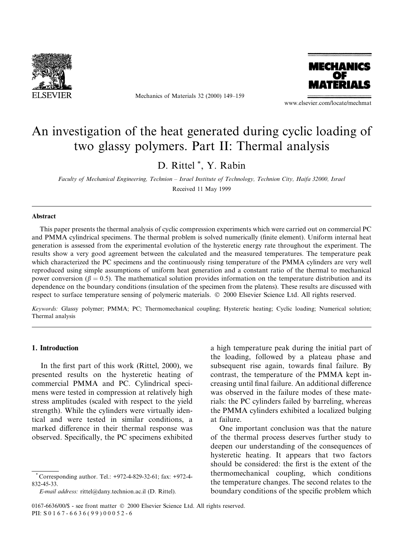

Mechanics of Materials 32 (2000) 149-159



www.elsevier.com/locate/mechmat

# An investigation of the heat generated during cyclic loading of two glassy polymers. Part II: Thermal analysis

D. Rittel \*, Y. Rabin

Faculty of Mechanical Engineering, Technion - Israel Institute of Technology, Technion City, Haifa 32000, Israel Received 11 May 1999

#### Abstract

This paper presents the thermal analysis of cyclic compression experiments which were carried out on commercial PC and PMMA cylindrical specimens. The thermal problem is solved numerically (finite element). Uniform internal heat generation is assessed from the experimental evolution of the hysteretic energy rate throughout the experiment. The results show a very good agreement between the calculated and the measured temperatures. The temperature peak which characterized the PC specimens and the continuously rising temperature of the PMMA cylinders are very well reproduced using simple assumptions of uniform heat generation and a constant ratio of the thermal to mechanical power conversion ( $\beta = 0.5$ ). The mathematical solution provides information on the temperature distribution and its dependence on the boundary conditions (insulation of the specimen from the platens). These results are discussed with respect to surface temperature sensing of polymeric materials.  $© 2000$  Elsevier Science Ltd. All rights reserved.

Keywords: Glassy polymer; PMMA; PC; Thermomechanical coupling; Hysteretic heating; Cyclic loading; Numerical solution; Thermal analysis

# 1. Introduction

In the first part of this work (Rittel,  $2000$ ), we presented results on the hysteretic heating of commercial PMMA and PC. Cylindrical specimens were tested in compression at relatively high stress amplitudes (scaled with respect to the yield strength). While the cylinders were virtually identical and were tested in similar conditions, a marked difference in their thermal response was observed. Specifically, the PC specimens exhibited

Corresponding author. Tel.: +972-4-829-32-61; fax: +972-4-832-45-33.

E-mail address: rittel@dany.technion.ac.il (D. Rittel).

a high temperature peak during the initial part of the loading, followed by a plateau phase and subsequent rise again, towards final failure. By contrast, the temperature of the PMMA kept increasing until final failure. An additional difference was observed in the failure modes of these materials: the PC cylinders failed by barreling, whereas the PMMA cylinders exhibited a localized bulging at failure.

One important conclusion was that the nature of the thermal process deserves further study to deepen our understanding of the consequences of hysteretic heating. It appears that two factors should be considered: the first is the extent of the thermomechanical coupling, which conditions the temperature changes. The second relates to the boundary conditions of the specific problem which

<sup>0167-6636/00/\$ -</sup> see front matter © 2000 Elsevier Science Ltd. All rights reserved. PII: S 0 1 6 7 - 6 6 3 6 (9 9 ) 0 0 0 5 2 - 6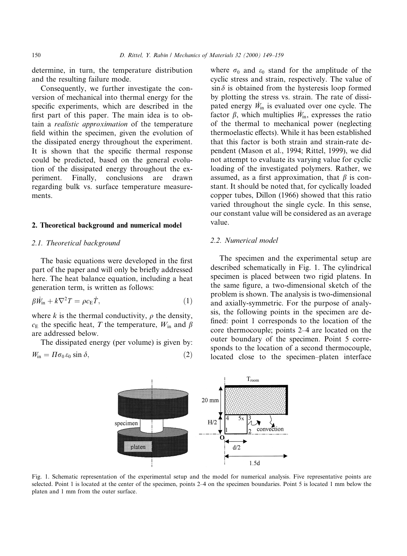determine, in turn, the temperature distribution and the resulting failure mode.

Consequently, we further investigate the conversion of mechanical into thermal energy for the specific experiments, which are described in the first part of this paper. The main idea is to obtain a realistic approximation of the temperature field within the specimen, given the evolution of the dissipated energy throughout the experiment. It is shown that the specific thermal response could be predicted, based on the general evolution of the dissipated energy throughout the experiment. Finally, conclusions are drawn regarding bulk vs. surface temperature measurements.

# 2. Theoretical background and numerical model

# 2.1. Theoretical background

The basic equations were developed in the first part of the paper and will only be briefly addressed here. The heat balance equation, including a heat generation term, is written as follows:

$$
\beta \dot{W}_{\text{in}} + k \nabla^2 T = \rho c_{\text{E}} \dot{T}, \qquad (1)
$$

where k is the thermal conductivity,  $\rho$  the density,  $c_{\rm E}$  the specific heat, T the temperature,  $W_{\rm in}$  and  $\beta$ are addressed below.

The dissipated energy (per volume) is given by:  $W_{\text{in}} = \Pi \sigma_0 \varepsilon_0 \sin \delta,$  (2) where  $\sigma_0$  and  $\varepsilon_0$  stand for the amplitude of the cyclic stress and strain, respectively. The value of  $\sin \delta$  is obtained from the hysteresis loop formed by plotting the stress vs. strain. The rate of dissipated energy  $\dot{W}_{\text{in}}$  is evaluated over one cycle. The factor  $\beta$ , which multiplies  $\dot{W}_{\text{in}}$ , expresses the ratio of the thermal to mechanical power (neglecting thermoelastic effects). While it has been established that this factor is both strain and strain-rate dependent (Mason et al., 1994; Rittel, 1999), we did not attempt to evaluate its varying value for cyclic loading of the investigated polymers. Rather, we assumed, as a first approximation, that  $\beta$  is constant. It should be noted that, for cyclically loaded copper tubes, Dillon (1966) showed that this ratio varied throughout the single cycle. In this sense, our constant value will be considered as an average value.

# 2.2. Numerical model

The specimen and the experimental setup are described schematically in Fig. 1. The cylindrical specimen is placed between two rigid platens. In the same figure, a two-dimensional sketch of the problem is shown. The analysis is two-dimensional and axially-symmetric. For the purpose of analysis, the following points in the specimen are de fined: point 1 corresponds to the location of the core thermocouple; points 2–4 are located on the outer boundary of the specimen. Point 5 corresponds to the location of a second thermocouple, located close to the specimen-platen interface



Fig. 1. Schematic representation of the experimental setup and the model for numerical analysis. Five representative points are selected. Point 1 is located at the center of the specimen, points 2–4 on the specimen boundaries. Point 5 is located 1 mm below the platen and 1 mm from the outer surface.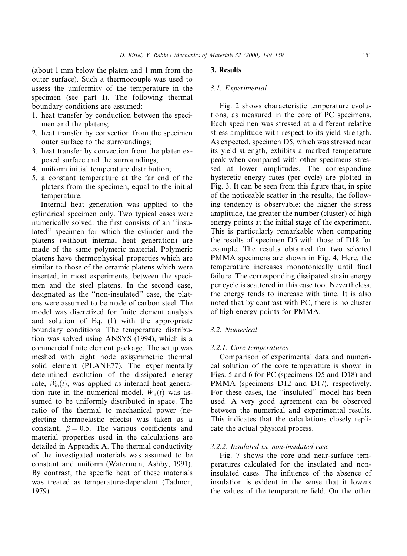(about 1 mm below the platen and 1 mm from the outer surface). Such a thermocouple was used to assess the uniformity of the temperature in the specimen (see part I). The following thermal boundary conditions are assumed:

- 1. heat transfer by conduction between the specimen and the platens;
- 2. heat transfer by convection from the specimen outer surface to the surroundings;
- 3. heat transfer by convection from the platen exposed surface and the surroundings;
- 4. uniform initial temperature distribution;
- 5. a constant temperature at the far end of the platens from the specimen, equal to the initial temperature.

Internal heat generation was applied to the cylindrical specimen only. Two typical cases were numerically solved: the first consists of an "insulated'' specimen for which the cylinder and the platens (without internal heat generation) are made of the same polymeric material. Polymeric platens have thermophysical properties which are similar to those of the ceramic platens which were inserted, in most experiments, between the specimen and the steel platens. In the second case, designated as the "non-insulated" case, the platens were assumed to be made of carbon steel. The model was discretized for finite element analysis and solution of Eq. (1) with the appropriate boundary conditions. The temperature distribution was solved using ANSYS (1994), which is a commercial finite element package. The setup was meshed with eight node axisymmetric thermal solid element (PLANE77). The experimentally determined evolution of the dissipated energy rate,  $\dot{W}_{\text{in}}(t)$ , was applied as internal heat generation rate in the numerical model.  $W_{\text{in}}(t)$  was assumed to be uniformly distributed in space. The ratio of the thermal to mechanical power (neglecting thermoelastic effects) was taken as a constant,  $\beta = 0.5$ . The various coefficients and material properties used in the calculations are detailed in Appendix A. The thermal conductivity of the investigated materials was assumed to be constant and uniform (Waterman, Ashby, 1991). By contrast, the specific heat of these materials was treated as temperature-dependent (Tadmor, 1979).

#### 3. Results

### 3.1. Experimental

Fig. 2 shows characteristic temperature evolutions, as measured in the core of PC specimens. Each specimen was stressed at a different relative stress amplitude with respect to its yield strength. As expected, specimen D5, which was stressed near its yield strength, exhibits a marked temperature peak when compared with other specimens stressed at lower amplitudes. The corresponding hysteretic energy rates (per cycle) are plotted in Fig. 3. It can be seen from this figure that, in spite of the noticeable scatter in the results, the following tendency is observable: the higher the stress amplitude, the greater the number (cluster) of high energy points at the initial stage of the experiment. This is particularly remarkable when comparing the results of specimen D5 with those of D18 for example. The results obtained for two selected PMMA specimens are shown in Fig. 4. Here, the temperature increases monotonically until final failure. The corresponding dissipated strain energy per cycle is scattered in this case too. Nevertheless, the energy tends to increase with time. It is also noted that by contrast with PC, there is no cluster of high energy points for PMMA.

# 3.2. Numerical

#### 3.2.1. Core temperatures

Comparison of experimental data and numerical solution of the core temperature is shown in Figs. 5 and 6 for PC (specimens D5 and D18) and PMMA (specimens D12 and D17), respectively. For these cases, the "insulated" model has been used. A very good agreement can be observed between the numerical and experimental results. This indicates that the calculations closely replicate the actual physical process.

## 3.2.2. Insulated vs. non-insulated case

Fig. 7 shows the core and near-surface temperatures calculated for the insulated and noninsulated cases. The influence of the absence of insulation is evident in the sense that it lowers the values of the temperature field. On the other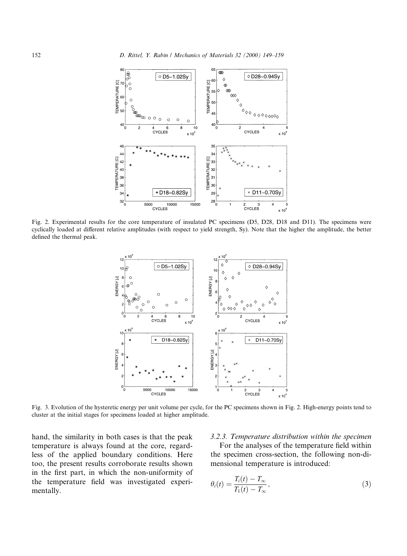

Fig. 2. Experimental results for the core temperature of insulated PC specimens (D5, D28, D18 and D11). The specimens were cyclically loaded at different relative amplitudes (with respect to yield strength, Sy). Note that the higher the amplitude, the better defined the thermal peak.



Fig. 3. Evolution of the hysteretic energy per unit volume per cycle, for the PC specimens shown in Fig. 2. High-energy points tend to cluster at the initial stages for specimens loaded at higher amplitude.

hand, the similarity in both cases is that the peak temperature is always found at the core, regardless of the applied boundary conditions. Here too, the present results corroborate results shown in the first part, in which the non-uniformity of the temperature field was investigated experimentally.

#### 3.2.3. Temperature distribution within the specimen

For the analyses of the temperature field within the specimen cross-section, the following non-dimensional temperature is introduced:

$$
\theta_i(t) = \frac{T_i(t) - T_{\infty}}{T_1(t) - T_{\infty}},\tag{3}
$$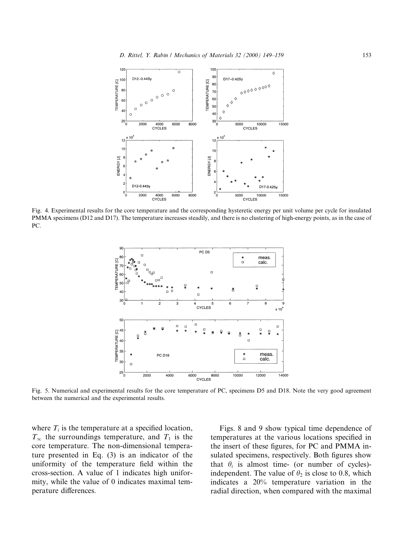

Fig. 4. Experimental results for the core temperature and the corresponding hysteretic energy per unit volume per cycle for insulated PMMA specimens (D12 and D17). The temperature increases steadily, and there is no clustering of high-energy points, as in the case of PC.



Fig. 5. Numerical and experimental results for the core temperature of PC, specimens D5 and D18. Note the very good agreement between the numerical and the experimental results.

where  $T_i$  is the temperature at a specified location,  $T_{\infty}$  the surroundings temperature, and  $T_1$  is the core temperature. The non-dimensional temperature presented in Eq. (3) is an indicator of the uniformity of the temperature field within the cross-section. A value of 1 indicates high uniformity, while the value of 0 indicates maximal temperature differences.

Figs. 8 and 9 show typical time dependence of temperatures at the various locations specified in the insert of these figures, for PC and PMMA insulated specimens, respectively. Both figures show that  $\theta_i$  is almost time- (or number of cycles)independent. The value of  $\theta_2$  is close to 0.8, which indicates a 20% temperature variation in the radial direction, when compared with the maximal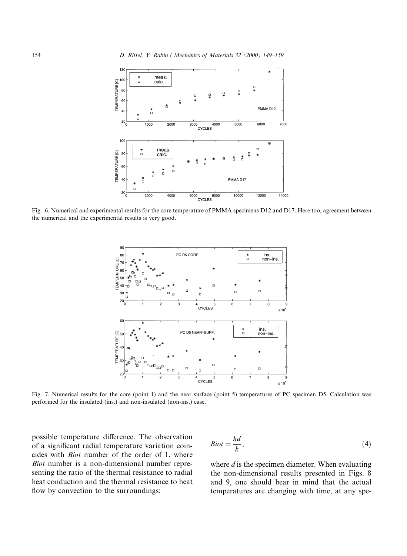

Fig. 6. Numerical and experimental results for the core temperature of PMMA specimens D12 and D17. Here too, agreement between the numerical and the experimental results is very good.



Fig. 7. Numerical results for the core (point 1) and the near surface (point 5) temperatures of PC specimen D5. Calculation was performed for the insulated (ins.) and non-insulated (non-ins.) case.

possible temperature difference. The observation of a significant radial temperature variation coincides with Biot number of the order of 1, where Biot number is a non-dimensional number representing the ratio of the thermal resistance to radial heat conduction and the thermal resistance to heat flow by convection to the surroundings:

$$
Biot = \frac{hd}{k},\tag{4}
$$

where  $d$  is the specimen diameter. When evaluating the non-dimensional results presented in Figs. 8 and 9, one should bear in mind that the actual temperatures are changing with time, at any spe-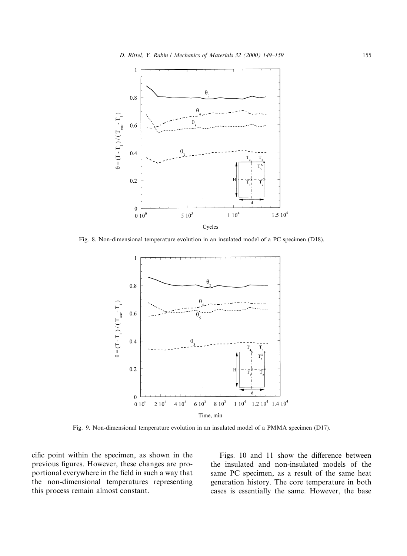

Fig. 8. Non-dimensional temperature evolution in an insulated model of a PC specimen (D18).



Fig. 9. Non-dimensional temperature evolution in an insulated model of a PMMA specimen (D17).

cific point within the specimen, as shown in the previous figures. However, these changes are proportional everywhere in the field in such a way that the non-dimensional temperatures representing this process remain almost constant.

Figs. 10 and 11 show the difference between the insulated and non-insulated models of the same PC specimen, as a result of the same heat generation history. The core temperature in both cases is essentially the same. However, the base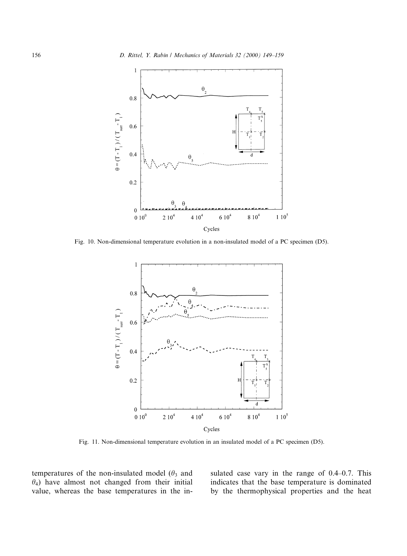

Fig. 10. Non-dimensional temperature evolution in a non-insulated model of a PC specimen (D5).



Fig. 11. Non-dimensional temperature evolution in an insulated model of a PC specimen (D5).

temperatures of the non-insulated model ( $\theta_3$  and  $\theta_4$ ) have almost not changed from their initial value, whereas the base temperatures in the insulated case vary in the range of  $0.4-0.7$ . This indicates that the base temperature is dominated by the thermophysical properties and the heat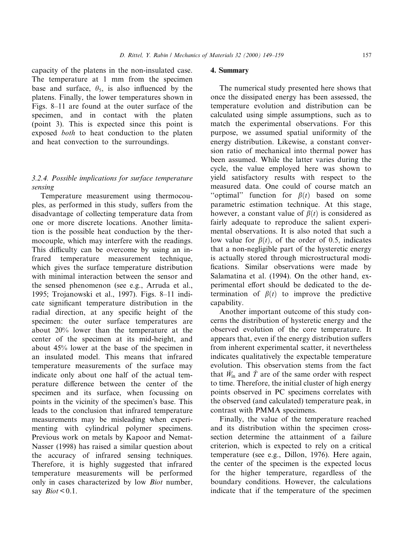capacity of the platens in the non-insulated case. The temperature at 1 mm from the specimen base and surface,  $\theta_5$ , is also influenced by the platens. Finally, the lower temperatures shown in Figs. 8–11 are found at the outer surface of the specimen, and in contact with the platen (point 3). This is expected since this point is exposed both to heat conduction to the platen and heat convection to the surroundings.

# 3.2.4. Possible implications for surface temperature sensing

Temperature measurement using thermocouples, as performed in this study, suffers from the disadvantage of collecting temperature data from one or more discrete locations. Another limitation is the possible heat conduction by the thermocouple, which may interfere with the readings. This difficulty can be overcome by using an infrared temperature measurement technique, which gives the surface temperature distribution with minimal interaction between the sensor and the sensed phenomenon (see e.g., Arruda et al., 1995; Trojanowski et al., 1997). Figs. 8-11 indicate significant temperature distribution in the radial direction, at any specific height of the specimen: the outer surface temperatures are about 20% lower than the temperature at the center of the specimen at its mid-height, and about 45% lower at the base of the specimen in an insulated model. This means that infrared temperature measurements of the surface may indicate only about one half of the actual temperature difference between the center of the specimen and its surface, when focussing on points in the vicinity of the specimen's base. This leads to the conclusion that infrared temperature measurements may be misleading when experimenting with cylindrical polymer specimens. Previous work on metals by Kapoor and Nemat-Nasser (1998) has raised a similar question about the accuracy of infrared sensing techniques. Therefore, it is highly suggested that infrared temperature measurements will be performed only in cases characterized by low Biot number, say  $Biot < 0.1$ .

# 4. Summary

The numerical study presented here shows that once the dissipated energy has been assessed, the temperature evolution and distribution can be calculated using simple assumptions, such as to match the experimental observations. For this purpose, we assumed spatial uniformity of the energy distribution. Likewise, a constant conversion ratio of mechanical into thermal power has been assumed. While the latter varies during the cycle, the value employed here was shown to yield satisfactory results with respect to the measured data. One could of course match an "optimal" function for  $\beta(t)$  based on some parametric estimation technique. At this stage, however, a constant value of  $\beta(t)$  is considered as fairly adequate to reproduce the salient experimental observations. It is also noted that such a low value for  $\beta(t)$ , of the order of 0.5, indicates that a non-negligible part of the hysteretic energy is actually stored through microstructural modi fications. Similar observations were made by Salamatina et al. (1994). On the other hand, experimental effort should be dedicated to the determination of  $\beta(t)$  to improve the predictive capability.

Another important outcome of this study concerns the distribution of hysteretic energy and the observed evolution of the core temperature. It appears that, even if the energy distribution suffers from inherent experimental scatter, it nevertheless indicates qualitatively the expectable temperature evolution. This observation stems from the fact that  $\dot{W}_{in}$  and  $\dot{T}$  are of the same order with respect to time. Therefore, the initial cluster of high energy points observed in PC specimens correlates with the observed (and calculated) temperature peak, in contrast with PMMA specimens.

Finally, the value of the temperature reached and its distribution within the specimen crosssection determine the attainment of a failure criterion, which is expected to rely on a critical temperature (see e.g., Dillon, 1976). Here again, the center of the specimen is the expected locus for the higher temperature, regardless of the boundary conditions. However, the calculations indicate that if the temperature of the specimen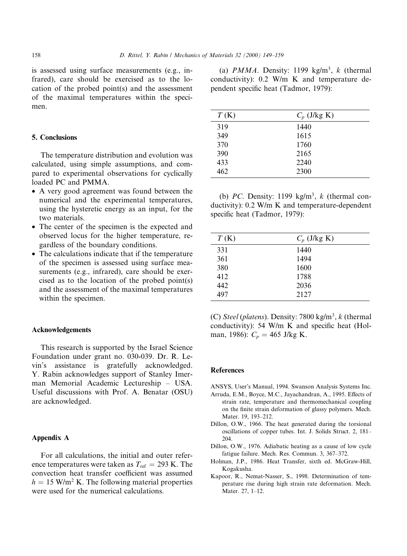is assessed using surface measurements (e.g., infrared), care should be exercised as to the location of the probed point(s) and the assessment of the maximal temperatures within the specimen.

# 5. Conclusions

The temperature distribution and evolution was calculated, using simple assumptions, and compared to experimental observations for cyclically loaded PC and PMMA.

- · A very good agreement was found between the numerical and the experimental temperatures, using the hysteretic energy as an input, for the two materials.
- · The center of the specimen is the expected and observed locus for the higher temperature, regardless of the boundary conditions.
- The calculations indicate that if the temperature of the specimen is assessed using surface measurements (e.g., infrared), care should be exercised as to the location of the probed point(s) and the assessment of the maximal temperatures within the specimen.

#### Acknowledgements

This research is supported by the Israel Science Foundation under grant no. 030-039. Dr. R. Levin's assistance is gratefully acknowledged. Y. Rabin acknowledges support of Stanley Imerman Memorial Academic Lectureship - USA. Useful discussions with Prof. A. Benatar (OSU) are acknowledged.

# Appendix A

For all calculations, the initial and outer reference temperatures were taken as  $T_{ref} = 293$  K. The convection heat transfer coefficient was assumed  $h = 15$  W/m<sup>2</sup> K. The following material properties were used for the numerical calculations.

(a)  $PMMA$ . Density: 1199 kg/m<sup>3</sup>, k (thermal conductivity): 0.2 W/m K and temperature dependent specific heat (Tadmor, 1979):

| T(K) | $C_p$ (J/kg K) |
|------|----------------|
| 319  | 1440           |
| 349  | 1615           |
| 370  | 1760           |
| 390  | 2165           |
| 433  | 2240           |
| 462  | 2300           |

(b) PC. Density: 1199 kg/m<sup>3</sup>, k (thermal conductivity): 0.2 W/m K and temperature-dependent specific heat (Tadmor, 1979):

| $C_p$ (J/kg K) |
|----------------|
| 1440           |
| 1494           |
| 1600           |
| 1788           |
| 2036           |
| 2127           |
|                |

(C) Steel (platens). Density:  $7800 \text{ kg/m}^3$ , k (thermal) conductivity): 54 W/m K and specific heat (Holman, 1986):  $C_p = 465$  J/kg K.

## **References**

- ANSYS, User's Manual, 1994. Swanson Analysis Systems Inc.
- Arruda, E.M., Boyce, M.C., Jayachandran, A., 1995. Effects of strain rate, temperature and thermomechanical coupling on the finite strain deformation of glassy polymers. Mech. Mater. 19, 193-212.
- Dillon, O.W., 1966. The heat generated during the torsional oscillations of copper tubes. Int. J. Solids Struct. 2, 181– 204.
- Dillon, O.W., 1976. Adiabatic heating as a cause of low cycle fatigue failure. Mech. Res. Commun. 3, 367-372.
- Holman, J.P., 1986. Heat Transfer, sixth ed. McGraw-Hill, Kogakusha.
- Kapoor, R., Nemat-Nasser, S., 1998. Determination of temperature rise during high strain rate deformation. Mech. Mater. 27, 1-12.